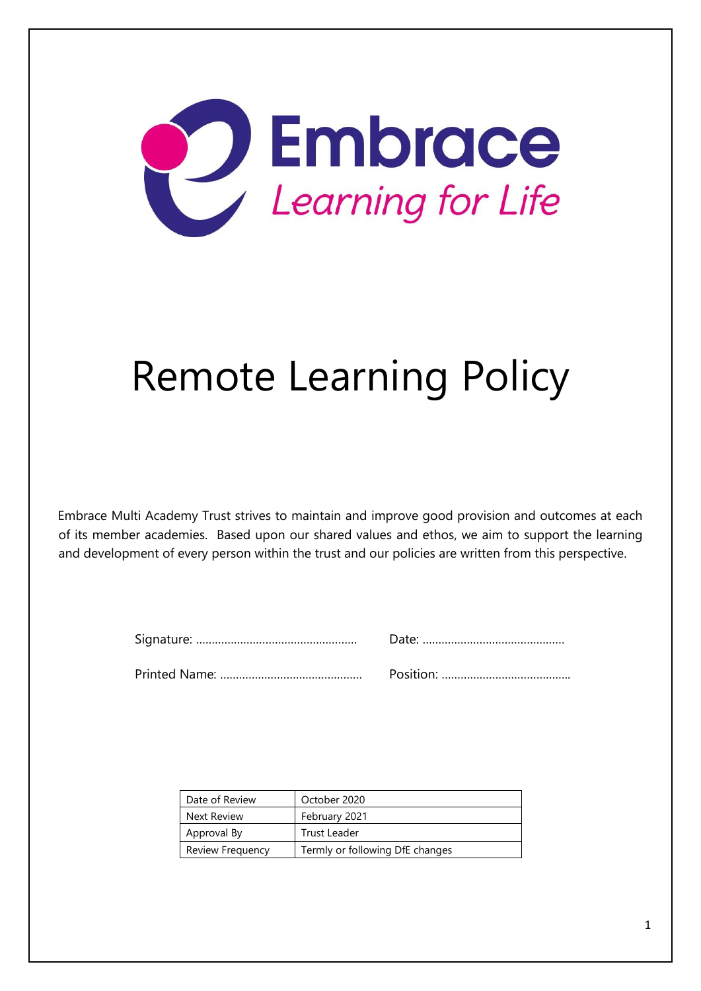

# Remote Learning Policy

Embrace Multi Academy Trust strives to maintain and improve good provision and outcomes at each of its member academies. Based upon our shared values and ethos, we aim to support the learning and development of every person within the trust and our policies are written from this perspective.

|--|--|

Printed Name: ……………………………………… Position: …………………………………..

| Date of Review   | October 2020                    |
|------------------|---------------------------------|
| Next Review      | February 2021                   |
| Approval By      | Trust Leader                    |
| Review Frequency | Termly or following DfE changes |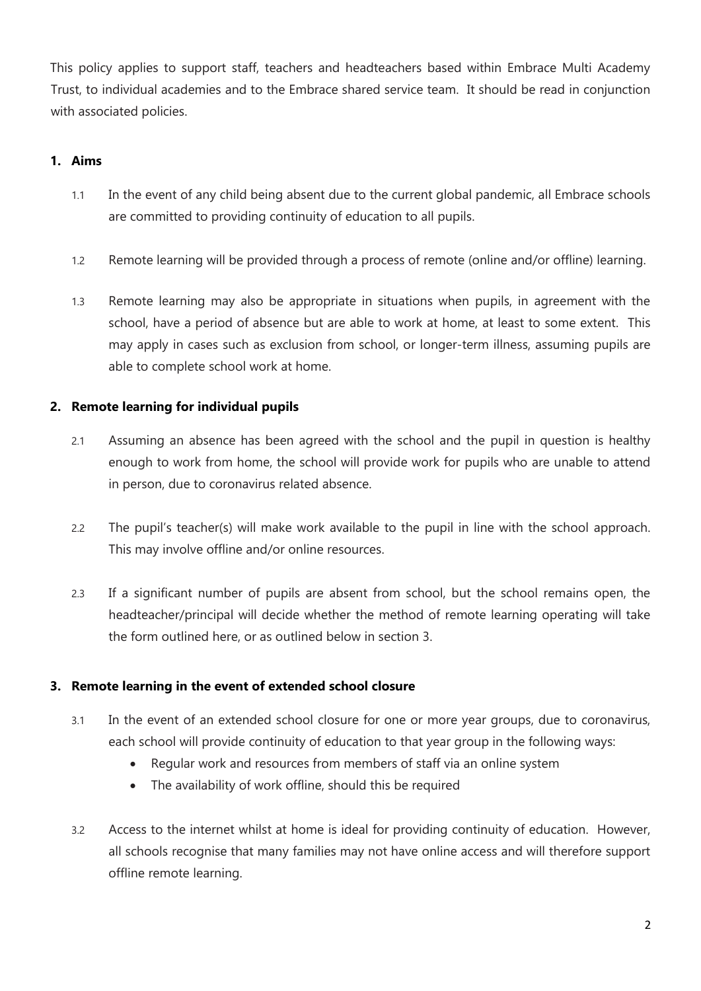This policy applies to support staff, teachers and headteachers based within Embrace Multi Academy Trust, to individual academies and to the Embrace shared service team. It should be read in conjunction with associated policies.

# **1. Aims**

- 1.1 In the event of any child being absent due to the current global pandemic, all Embrace schools are committed to providing continuity of education to all pupils.
- 1.2 Remote learning will be provided through a process of remote (online and/or offline) learning.
- 1.3 Remote learning may also be appropriate in situations when pupils, in agreement with the school, have a period of absence but are able to work at home, at least to some extent. This may apply in cases such as exclusion from school, or longer-term illness, assuming pupils are able to complete school work at home.

# **2. Remote learning for individual pupils**

- 2.1 Assuming an absence has been agreed with the school and the pupil in question is healthy enough to work from home, the school will provide work for pupils who are unable to attend in person, due to coronavirus related absence.
- 2.2 The pupil's teacher(s) will make work available to the pupil in line with the school approach. This may involve offline and/or online resources.
- 2.3 If a significant number of pupils are absent from school, but the school remains open, the headteacher/principal will decide whether the method of remote learning operating will take the form outlined here, or as outlined below in section 3.

## **3. Remote learning in the event of extended school closure**

- 3.1 In the event of an extended school closure for one or more year groups, due to coronavirus, each school will provide continuity of education to that year group in the following ways:
	- Regular work and resources from members of staff via an online system
	- The availability of work offline, should this be required
- 3.2 Access to the internet whilst at home is ideal for providing continuity of education. However, all schools recognise that many families may not have online access and will therefore support offline remote learning.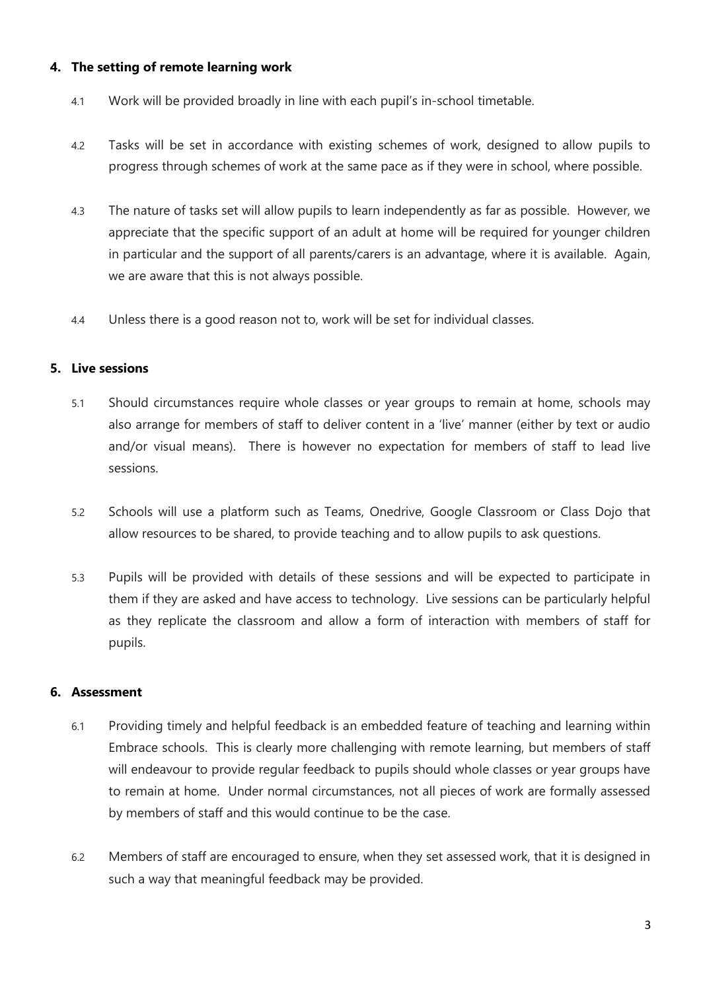## **4. The setting of remote learning work**

- 4.1 Work will be provided broadly in line with each pupil's in-school timetable.
- 4.2 Tasks will be set in accordance with existing schemes of work, designed to allow pupils to progress through schemes of work at the same pace as if they were in school, where possible.
- 4.3 The nature of tasks set will allow pupils to learn independently as far as possible. However, we appreciate that the specific support of an adult at home will be required for younger children in particular and the support of all parents/carers is an advantage, where it is available. Again, we are aware that this is not always possible.
- 4.4 Unless there is a good reason not to, work will be set for individual classes.

## **5. Live sessions**

- 5.1 Should circumstances require whole classes or year groups to remain at home, schools may also arrange for members of staff to deliver content in a 'live' manner (either by text or audio and/or visual means). There is however no expectation for members of staff to lead live sessions.
- 5.2 Schools will use a platform such as Teams, Onedrive, Google Classroom or Class Dojo that allow resources to be shared, to provide teaching and to allow pupils to ask questions.
- 5.3 Pupils will be provided with details of these sessions and will be expected to participate in them if they are asked and have access to technology. Live sessions can be particularly helpful as they replicate the classroom and allow a form of interaction with members of staff for pupils.

## **6. Assessment**

- 6.1 Providing timely and helpful feedback is an embedded feature of teaching and learning within Embrace schools. This is clearly more challenging with remote learning, but members of staff will endeavour to provide regular feedback to pupils should whole classes or year groups have to remain at home. Under normal circumstances, not all pieces of work are formally assessed by members of staff and this would continue to be the case.
- 6.2 Members of staff are encouraged to ensure, when they set assessed work, that it is designed in such a way that meaningful feedback may be provided.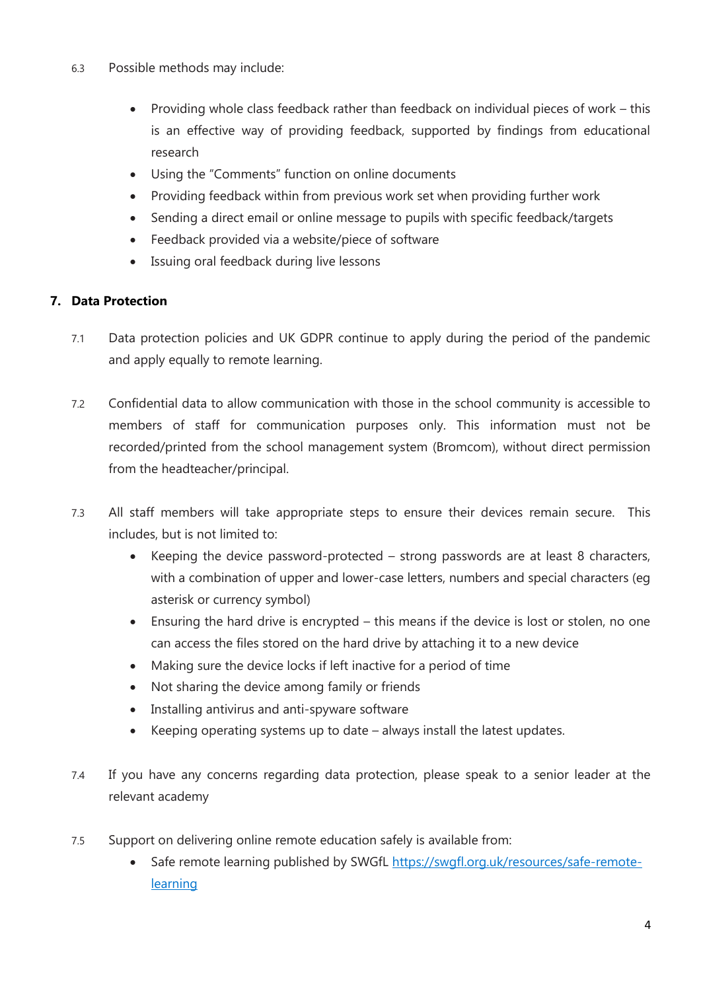- 6.3 Possible methods may include:
	- Providing whole class feedback rather than feedback on individual pieces of work this is an effective way of providing feedback, supported by findings from educational research
	- Using the "Comments" function on online documents
	- Providing feedback within from previous work set when providing further work
	- Sending a direct email or online message to pupils with specific feedback/targets
	- Feedback provided via a website/piece of software
	- Issuing oral feedback during live lessons

# **7. Data Protection**

- 7.1 Data protection policies and UK GDPR continue to apply during the period of the pandemic and apply equally to remote learning.
- 7.2 Confidential data to allow communication with those in the school community is accessible to members of staff for communication purposes only. This information must not be recorded/printed from the school management system (Bromcom), without direct permission from the headteacher/principal.
- 7.3 All staff members will take appropriate steps to ensure their devices remain secure. This includes, but is not limited to:
	- Keeping the device password-protected strong passwords are at least 8 characters, with a combination of upper and lower-case letters, numbers and special characters (eg asterisk or currency symbol)
	- Ensuring the hard drive is encrypted this means if the device is lost or stolen, no one can access the files stored on the hard drive by attaching it to a new device
	- Making sure the device locks if left inactive for a period of time
	- Not sharing the device among family or friends
	- Installing antivirus and anti-spyware software
	- Keeping operating systems up to date always install the latest updates.
- 7.4 If you have any concerns regarding data protection, please speak to a senior leader at the relevant academy
- 7.5 Support on delivering online remote education safely is available from:
	- Safe remote learning published by SWGfL [https://swgfl.org.uk/resources/safe-remote](https://swgfl.org.uk/resources/safe-remote-learning)[learning](https://swgfl.org.uk/resources/safe-remote-learning)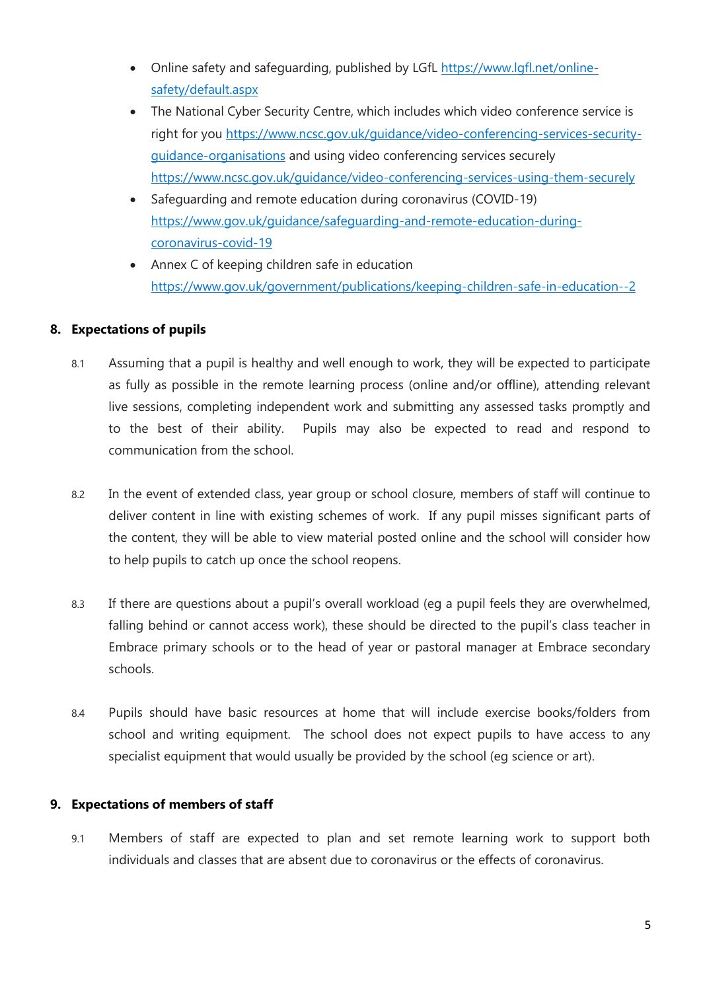- Online safety and safeguarding, published by LGfL [https://www.lgfl.net/online](https://www.lgfl.net/online-safety/default.aspx)[safety/default.aspx](https://www.lgfl.net/online-safety/default.aspx)
- The National Cyber Security Centre, which includes which video conference service is right for you [https://www.ncsc.gov.uk/guidance/video-conferencing-services-security](https://www.ncsc.gov.uk/guidance/video-conferencing-services-security-guidance-organisations)[guidance-organisations](https://www.ncsc.gov.uk/guidance/video-conferencing-services-security-guidance-organisations) and using video conferencing services securely <https://www.ncsc.gov.uk/guidance/video-conferencing-services-using-them-securely>
- Safeguarding and remote education during coronavirus (COVID-19) [https://www.gov.uk/guidance/safeguarding-and-remote-education-during](https://www.gov.uk/guidance/safeguarding-and-remote-education-during-coronavirus-covid-19)[coronavirus-covid-19](https://www.gov.uk/guidance/safeguarding-and-remote-education-during-coronavirus-covid-19)
- Annex C of keeping children safe in education <https://www.gov.uk/government/publications/keeping-children-safe-in-education--2>

# **8. Expectations of pupils**

- 8.1 Assuming that a pupil is healthy and well enough to work, they will be expected to participate as fully as possible in the remote learning process (online and/or offline), attending relevant live sessions, completing independent work and submitting any assessed tasks promptly and to the best of their ability. Pupils may also be expected to read and respond to communication from the school.
- 8.2 In the event of extended class, year group or school closure, members of staff will continue to deliver content in line with existing schemes of work. If any pupil misses significant parts of the content, they will be able to view material posted online and the school will consider how to help pupils to catch up once the school reopens.
- 8.3 If there are questions about a pupil's overall workload (eg a pupil feels they are overwhelmed, falling behind or cannot access work), these should be directed to the pupil's class teacher in Embrace primary schools or to the head of year or pastoral manager at Embrace secondary schools.
- 8.4 Pupils should have basic resources at home that will include exercise books/folders from school and writing equipment. The school does not expect pupils to have access to any specialist equipment that would usually be provided by the school (eg science or art).

## **9. Expectations of members of staff**

9.1 Members of staff are expected to plan and set remote learning work to support both individuals and classes that are absent due to coronavirus or the effects of coronavirus.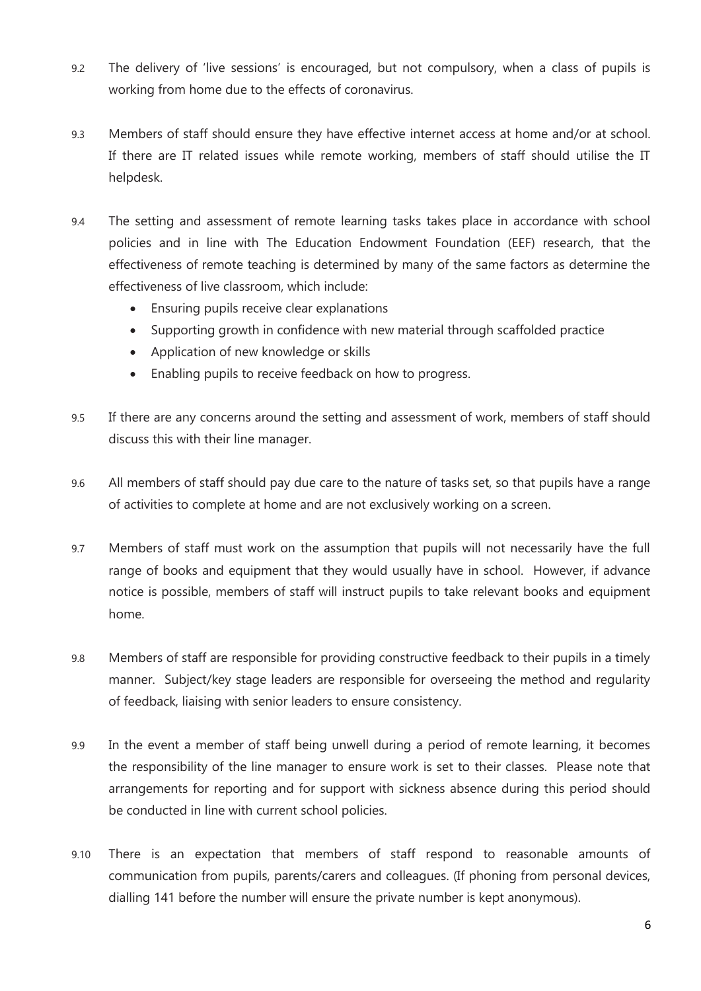- 9.2 The delivery of 'live sessions' is encouraged, but not compulsory, when a class of pupils is working from home due to the effects of coronavirus.
- 9.3 Members of staff should ensure they have effective internet access at home and/or at school. If there are IT related issues while remote working, members of staff should utilise the IT helpdesk.
- 9.4 The setting and assessment of remote learning tasks takes place in accordance with school policies and in line with The Education Endowment Foundation (EEF) research, that the effectiveness of remote teaching is determined by many of the same factors as determine the effectiveness of live classroom, which include:
	- Ensuring pupils receive clear explanations
	- Supporting growth in confidence with new material through scaffolded practice
	- Application of new knowledge or skills
	- Enabling pupils to receive feedback on how to progress.
- 9.5 If there are any concerns around the setting and assessment of work, members of staff should discuss this with their line manager.
- 9.6 All members of staff should pay due care to the nature of tasks set, so that pupils have a range of activities to complete at home and are not exclusively working on a screen.
- 9.7 Members of staff must work on the assumption that pupils will not necessarily have the full range of books and equipment that they would usually have in school. However, if advance notice is possible, members of staff will instruct pupils to take relevant books and equipment home.
- 9.8 Members of staff are responsible for providing constructive feedback to their pupils in a timely manner. Subject/key stage leaders are responsible for overseeing the method and regularity of feedback, liaising with senior leaders to ensure consistency.
- 9.9 In the event a member of staff being unwell during a period of remote learning, it becomes the responsibility of the line manager to ensure work is set to their classes. Please note that arrangements for reporting and for support with sickness absence during this period should be conducted in line with current school policies.
- 9.10 There is an expectation that members of staff respond to reasonable amounts of communication from pupils, parents/carers and colleagues. (If phoning from personal devices, dialling 141 before the number will ensure the private number is kept anonymous).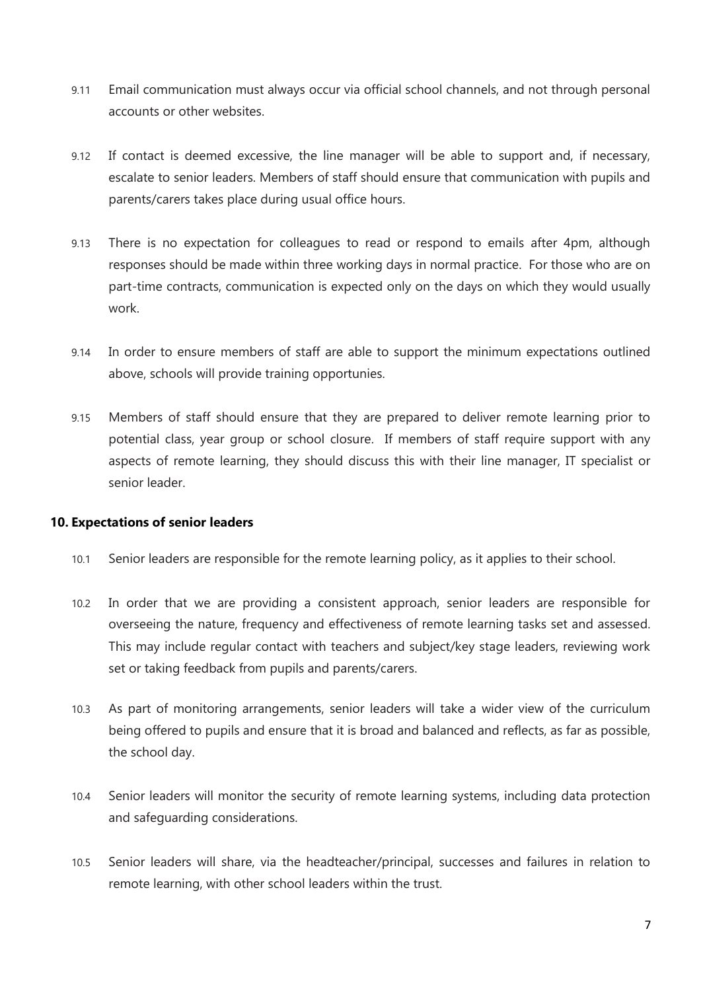- 9.11 Email communication must always occur via official school channels, and not through personal accounts or other websites.
- 9.12 If contact is deemed excessive, the line manager will be able to support and, if necessary, escalate to senior leaders. Members of staff should ensure that communication with pupils and parents/carers takes place during usual office hours.
- 9.13 There is no expectation for colleagues to read or respond to emails after 4pm, although responses should be made within three working days in normal practice. For those who are on part-time contracts, communication is expected only on the days on which they would usually work.
- 9.14 In order to ensure members of staff are able to support the minimum expectations outlined above, schools will provide training opportunies.
- 9.15 Members of staff should ensure that they are prepared to deliver remote learning prior to potential class, year group or school closure. If members of staff require support with any aspects of remote learning, they should discuss this with their line manager, IT specialist or senior leader.

#### **10. Expectations of senior leaders**

- 10.1 Senior leaders are responsible for the remote learning policy, as it applies to their school.
- 10.2 In order that we are providing a consistent approach, senior leaders are responsible for overseeing the nature, frequency and effectiveness of remote learning tasks set and assessed. This may include regular contact with teachers and subject/key stage leaders, reviewing work set or taking feedback from pupils and parents/carers.
- 10.3 As part of monitoring arrangements, senior leaders will take a wider view of the curriculum being offered to pupils and ensure that it is broad and balanced and reflects, as far as possible, the school day.
- 10.4 Senior leaders will monitor the security of remote learning systems, including data protection and safeguarding considerations.
- 10.5 Senior leaders will share, via the headteacher/principal, successes and failures in relation to remote learning, with other school leaders within the trust.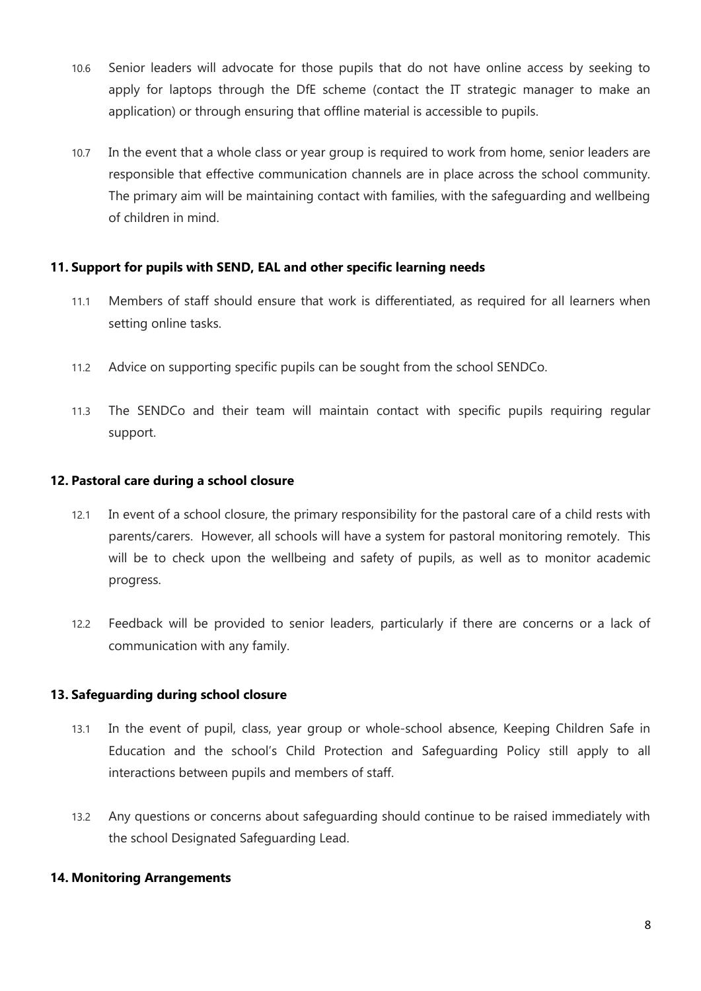- 10.6 Senior leaders will advocate for those pupils that do not have online access by seeking to apply for laptops through the DfE scheme (contact the IT strategic manager to make an application) or through ensuring that offline material is accessible to pupils.
- 10.7 In the event that a whole class or year group is required to work from home, senior leaders are responsible that effective communication channels are in place across the school community. The primary aim will be maintaining contact with families, with the safeguarding and wellbeing of children in mind.

## **11. Support for pupils with SEND, EAL and other specific learning needs**

- 11.1 Members of staff should ensure that work is differentiated, as required for all learners when setting online tasks.
- 11.2 Advice on supporting specific pupils can be sought from the school SENDCo.
- 11.3 The SENDCo and their team will maintain contact with specific pupils requiring regular support.

#### **12. Pastoral care during a school closure**

- 12.1 In event of a school closure, the primary responsibility for the pastoral care of a child rests with parents/carers. However, all schools will have a system for pastoral monitoring remotely. This will be to check upon the wellbeing and safety of pupils, as well as to monitor academic progress.
- 12.2 Feedback will be provided to senior leaders, particularly if there are concerns or a lack of communication with any family.

#### **13. Safeguarding during school closure**

- 13.1 In the event of pupil, class, year group or whole-school absence, Keeping Children Safe in Education and the school's Child Protection and Safeguarding Policy still apply to all interactions between pupils and members of staff.
- 13.2 Any questions or concerns about safeguarding should continue to be raised immediately with the school Designated Safeguarding Lead.

#### **14. Monitoring Arrangements**